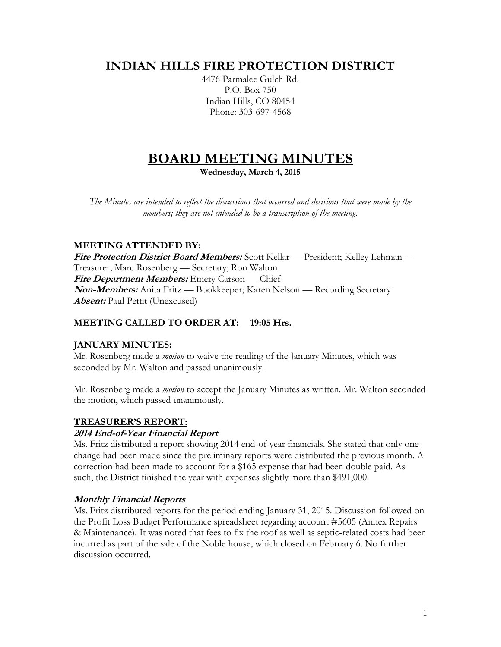# **INDIAN HILLS FIRE PROTECTION DISTRICT**

4476 Parmalee Gulch Rd. P.O. Box 750 Indian Hills, CO 80454 Phone: 303-697-4568

# **BOARD MEETING MINUTES**

**Wednesday, March 4, 2015**

*The Minutes are intended to reflect the discussions that occurred and decisions that were made by the members; they are not intended to be a transcription of the meeting.*

# **MEETING ATTENDED BY:**

**Fire Protection District Board Members:** Scott Kellar — President; Kelley Lehman — Treasurer; Marc Rosenberg — Secretary; Ron Walton **Fire Department Members:** Emery Carson — Chief **Non-Members:** Anita Fritz — Bookkeeper; Karen Nelson — Recording Secretary **Absent:** Paul Pettit (Unexcused)

# **MEETING CALLED TO ORDER AT: 19:05 Hrs.**

# **JANUARY MINUTES:**

Mr. Rosenberg made a *motion* to waive the reading of the January Minutes, which was seconded by Mr. Walton and passed unanimously.

Mr. Rosenberg made a *motion* to accept the January Minutes as written. Mr. Walton seconded the motion, which passed unanimously.

### **TREASURER'S REPORT:**

### **2014 End-of-Year Financial Report**

Ms. Fritz distributed a report showing 2014 end-of-year financials. She stated that only one change had been made since the preliminary reports were distributed the previous month. A correction had been made to account for a \$165 expense that had been double paid. As such, the District finished the year with expenses slightly more than \$491,000.

### **Monthly Financial Reports**

Ms. Fritz distributed reports for the period ending January 31, 2015. Discussion followed on the Profit Loss Budget Performance spreadsheet regarding account #5605 (Annex Repairs & Maintenance). It was noted that fees to fix the roof as well as septic-related costs had been incurred as part of the sale of the Noble house, which closed on February 6. No further discussion occurred.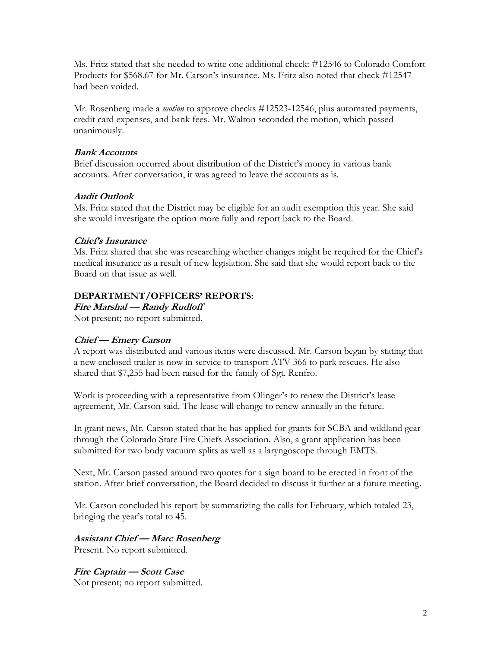Ms. Fritz stated that she needed to write one additional check: #12546 to Colorado Comfort Products for \$568.67 for Mr. Carson's insurance. Ms. Fritz also noted that check #12547 had been voided.

Mr. Rosenberg made a *motion* to approve checks #12523-12546, plus automated payments, credit card expenses, and bank fees. Mr. Walton seconded the motion, which passed unanimously.

## **Bank Accounts**

Brief discussion occurred about distribution of the District's money in various bank accounts. After conversation, it was agreed to leave the accounts as is.

# **Audit Outlook**

Ms. Fritz stated that the District may be eligible for an audit exemption this year. She said she would investigate the option more fully and report back to the Board.

# **Chief's Insurance**

Ms. Fritz shared that she was researching whether changes might be required for the Chief's medical insurance as a result of new legislation. She said that she would report back to the Board on that issue as well.

### **DEPARTMENT/OFFICERS' REPORTS:**

**Fire Marshal — Randy Rudloff**

Not present; no report submitted.

# **Chief — Emery Carson**

A report was distributed and various items were discussed. Mr. Carson began by stating that a new enclosed trailer is now in service to transport ATV 366 to park rescues. He also shared that \$7,255 had been raised for the family of Sgt. Renfro.

Work is proceeding with a representative from Olinger's to renew the District's lease agreement, Mr. Carson said. The lease will change to renew annually in the future.

In grant news, Mr. Carson stated that he has applied for grants for SCBA and wildland gear through the Colorado State Fire Chiefs Association. Also, a grant application has been submitted for two body vacuum splits as well as a laryngoscope through EMTS.

Next, Mr. Carson passed around two quotes for a sign board to be erected in front of the station. After brief conversation, the Board decided to discuss it further at a future meeting.

Mr. Carson concluded his report by summarizing the calls for February, which totaled 23, bringing the year's total to 45.

# **Assistant Chief — Marc Rosenberg**

Present. No report submitted.

**Fire Captain — Scott Case** Not present; no report submitted.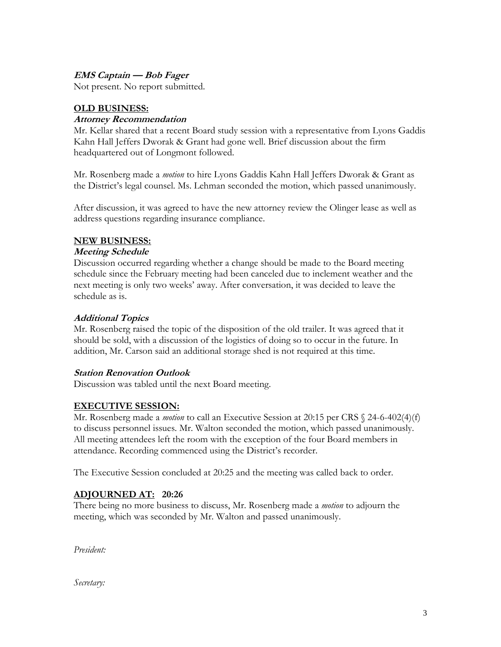# **EMS Captain — Bob Fager**

Not present. No report submitted.

# **OLD BUSINESS:**

#### **Attorney Recommendation**

Mr. Kellar shared that a recent Board study session with a representative from Lyons Gaddis Kahn Hall Jeffers Dworak & Grant had gone well. Brief discussion about the firm headquartered out of Longmont followed.

Mr. Rosenberg made a *motion* to hire Lyons Gaddis Kahn Hall Jeffers Dworak & Grant as the District's legal counsel. Ms. Lehman seconded the motion, which passed unanimously.

After discussion, it was agreed to have the new attorney review the Olinger lease as well as address questions regarding insurance compliance.

#### **NEW BUSINESS:**

#### **Meeting Schedule**

Discussion occurred regarding whether a change should be made to the Board meeting schedule since the February meeting had been canceled due to inclement weather and the next meeting is only two weeks' away. After conversation, it was decided to leave the schedule as is.

#### **Additional Topics**

Mr. Rosenberg raised the topic of the disposition of the old trailer. It was agreed that it should be sold, with a discussion of the logistics of doing so to occur in the future. In addition, Mr. Carson said an additional storage shed is not required at this time.

### **Station Renovation Outlook**

Discussion was tabled until the next Board meeting.

### **EXECUTIVE SESSION:**

Mr. Rosenberg made a *motion* to call an Executive Session at 20:15 per CRS § 24-6-402(4)(f) to discuss personnel issues. Mr. Walton seconded the motion, which passed unanimously. All meeting attendees left the room with the exception of the four Board members in attendance. Recording commenced using the District's recorder.

The Executive Session concluded at 20:25 and the meeting was called back to order.

### **ADJOURNED AT: 20:26**

There being no more business to discuss, Mr. Rosenberg made a *motion* to adjourn the meeting, which was seconded by Mr. Walton and passed unanimously.

*President:*

*Secretary:*